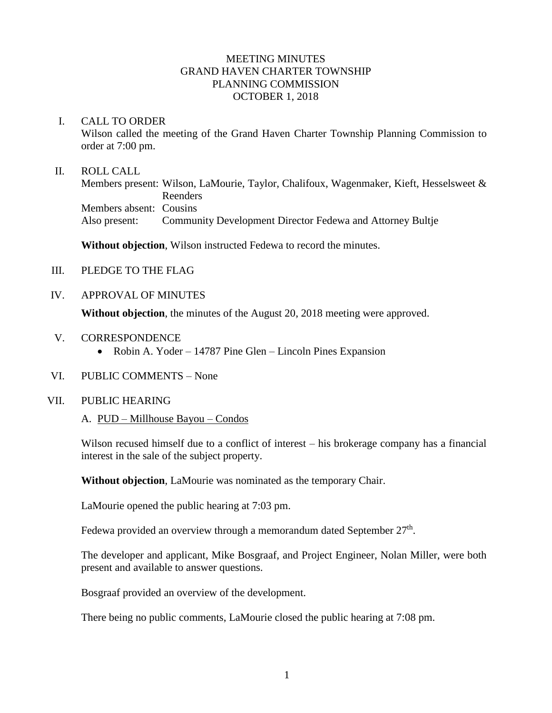# MEETING MINUTES GRAND HAVEN CHARTER TOWNSHIP PLANNING COMMISSION OCTOBER 1, 2018

#### I. CALL TO ORDER

Wilson called the meeting of the Grand Haven Charter Township Planning Commission to order at 7:00 pm.

## II. ROLL CALL

Members present: Wilson, LaMourie, Taylor, Chalifoux, Wagenmaker, Kieft, Hesselsweet & Reenders Members absent: Cousins Also present: Community Development Director Fedewa and Attorney Bultje

**Without objection**, Wilson instructed Fedewa to record the minutes.

- III. PLEDGE TO THE FLAG
- IV. APPROVAL OF MINUTES

**Without objection**, the minutes of the August 20, 2018 meeting were approved.

- V. CORRESPONDENCE
	- Robin A. Yoder 14787 Pine Glen Lincoln Pines Expansion
- VI. PUBLIC COMMENTS None

# VII. PUBLIC HEARING

A. PUD – Millhouse Bayou – Condos

Wilson recused himself due to a conflict of interest – his brokerage company has a financial interest in the sale of the subject property.

**Without objection**, LaMourie was nominated as the temporary Chair.

LaMourie opened the public hearing at 7:03 pm.

Fedewa provided an overview through a memorandum dated September 27<sup>th</sup>.

The developer and applicant, Mike Bosgraaf, and Project Engineer, Nolan Miller, were both present and available to answer questions.

Bosgraaf provided an overview of the development.

There being no public comments, LaMourie closed the public hearing at 7:08 pm.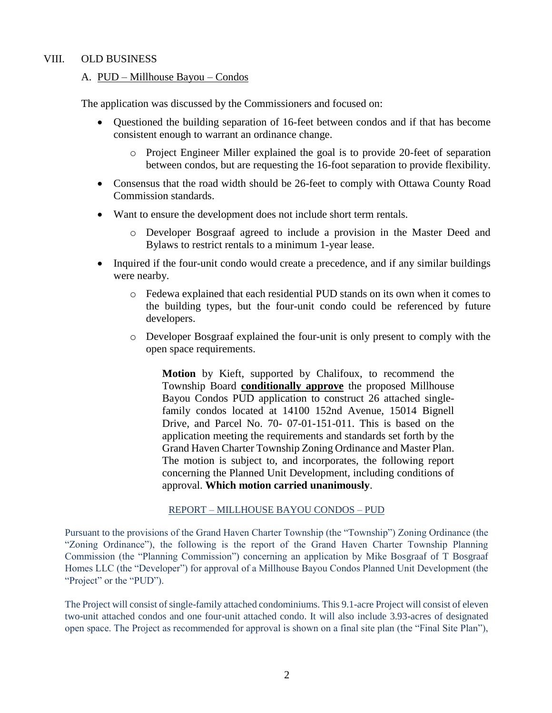# VIII. OLD BUSINESS

# A. PUD – Millhouse Bayou – Condos

The application was discussed by the Commissioners and focused on:

- Questioned the building separation of 16-feet between condos and if that has become consistent enough to warrant an ordinance change.
	- o Project Engineer Miller explained the goal is to provide 20-feet of separation between condos, but are requesting the 16-foot separation to provide flexibility.
- Consensus that the road width should be 26-feet to comply with Ottawa County Road Commission standards.
- Want to ensure the development does not include short term rentals.
	- o Developer Bosgraaf agreed to include a provision in the Master Deed and Bylaws to restrict rentals to a minimum 1-year lease.
- Inquired if the four-unit condo would create a precedence, and if any similar buildings were nearby.
	- o Fedewa explained that each residential PUD stands on its own when it comes to the building types, but the four-unit condo could be referenced by future developers.
	- o Developer Bosgraaf explained the four-unit is only present to comply with the open space requirements.

**Motion** by Kieft, supported by Chalifoux, to recommend the Township Board **conditionally approve** the proposed Millhouse Bayou Condos PUD application to construct 26 attached singlefamily condos located at 14100 152nd Avenue, 15014 Bignell Drive, and Parcel No. 70- 07-01-151-011. This is based on the application meeting the requirements and standards set forth by the Grand Haven Charter Township Zoning Ordinance and Master Plan. The motion is subject to, and incorporates, the following report concerning the Planned Unit Development, including conditions of approval. **Which motion carried unanimously**.

#### REPORT – MILLHOUSE BAYOU CONDOS – PUD

Pursuant to the provisions of the Grand Haven Charter Township (the "Township") Zoning Ordinance (the "Zoning Ordinance"), the following is the report of the Grand Haven Charter Township Planning Commission (the "Planning Commission") concerning an application by Mike Bosgraaf of T Bosgraaf Homes LLC (the "Developer") for approval of a Millhouse Bayou Condos Planned Unit Development (the "Project" or the "PUD").

The Project will consist of single-family attached condominiums. This 9.1-acre Project will consist of eleven two-unit attached condos and one four-unit attached condo. It will also include 3.93-acres of designated open space. The Project as recommended for approval is shown on a final site plan (the "Final Site Plan"),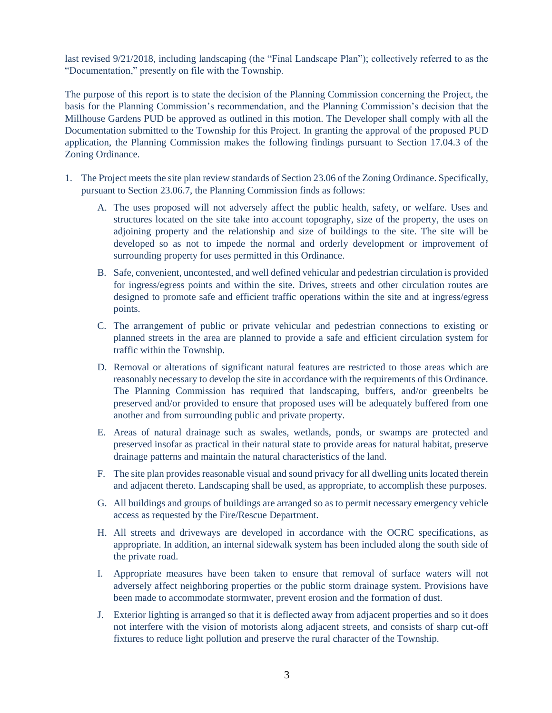last revised 9/21/2018, including landscaping (the "Final Landscape Plan"); collectively referred to as the "Documentation," presently on file with the Township.

The purpose of this report is to state the decision of the Planning Commission concerning the Project, the basis for the Planning Commission's recommendation, and the Planning Commission's decision that the Millhouse Gardens PUD be approved as outlined in this motion. The Developer shall comply with all the Documentation submitted to the Township for this Project. In granting the approval of the proposed PUD application, the Planning Commission makes the following findings pursuant to Section 17.04.3 of the Zoning Ordinance.

- 1. The Project meets the site plan review standards of Section 23.06 of the Zoning Ordinance. Specifically, pursuant to Section 23.06.7, the Planning Commission finds as follows:
	- A. The uses proposed will not adversely affect the public health, safety, or welfare. Uses and structures located on the site take into account topography, size of the property, the uses on adjoining property and the relationship and size of buildings to the site. The site will be developed so as not to impede the normal and orderly development or improvement of surrounding property for uses permitted in this Ordinance.
	- B. Safe, convenient, uncontested, and well defined vehicular and pedestrian circulation is provided for ingress/egress points and within the site. Drives, streets and other circulation routes are designed to promote safe and efficient traffic operations within the site and at ingress/egress points.
	- C. The arrangement of public or private vehicular and pedestrian connections to existing or planned streets in the area are planned to provide a safe and efficient circulation system for traffic within the Township.
	- D. Removal or alterations of significant natural features are restricted to those areas which are reasonably necessary to develop the site in accordance with the requirements of this Ordinance. The Planning Commission has required that landscaping, buffers, and/or greenbelts be preserved and/or provided to ensure that proposed uses will be adequately buffered from one another and from surrounding public and private property.
	- E. Areas of natural drainage such as swales, wetlands, ponds, or swamps are protected and preserved insofar as practical in their natural state to provide areas for natural habitat, preserve drainage patterns and maintain the natural characteristics of the land.
	- F. The site plan provides reasonable visual and sound privacy for all dwelling units located therein and adjacent thereto. Landscaping shall be used, as appropriate, to accomplish these purposes.
	- G. All buildings and groups of buildings are arranged so as to permit necessary emergency vehicle access as requested by the Fire/Rescue Department.
	- H. All streets and driveways are developed in accordance with the OCRC specifications, as appropriate. In addition, an internal sidewalk system has been included along the south side of the private road.
	- I. Appropriate measures have been taken to ensure that removal of surface waters will not adversely affect neighboring properties or the public storm drainage system. Provisions have been made to accommodate stormwater, prevent erosion and the formation of dust.
	- J. Exterior lighting is arranged so that it is deflected away from adjacent properties and so it does not interfere with the vision of motorists along adjacent streets, and consists of sharp cut-off fixtures to reduce light pollution and preserve the rural character of the Township.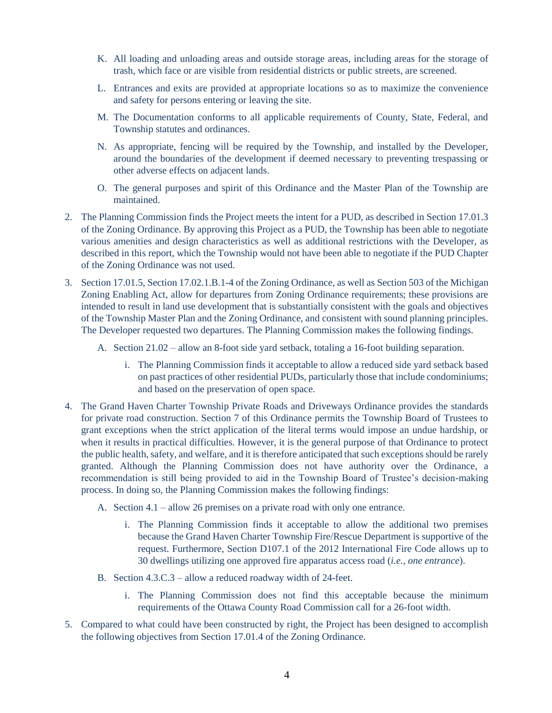- K. All loading and unloading areas and outside storage areas, including areas for the storage of trash, which face or are visible from residential districts or public streets, are screened.
- L. Entrances and exits are provided at appropriate locations so as to maximize the convenience and safety for persons entering or leaving the site.
- M. The Documentation conforms to all applicable requirements of County, State, Federal, and Township statutes and ordinances.
- N. As appropriate, fencing will be required by the Township, and installed by the Developer, around the boundaries of the development if deemed necessary to preventing trespassing or other adverse effects on adjacent lands.
- O. The general purposes and spirit of this Ordinance and the Master Plan of the Township are maintained.
- 2. The Planning Commission finds the Project meets the intent for a PUD, as described in Section 17.01.3 of the Zoning Ordinance. By approving this Project as a PUD, the Township has been able to negotiate various amenities and design characteristics as well as additional restrictions with the Developer, as described in this report, which the Township would not have been able to negotiate if the PUD Chapter of the Zoning Ordinance was not used.
- 3. Section 17.01.5, Section 17.02.1.B.1-4 of the Zoning Ordinance, as well as Section 503 of the Michigan Zoning Enabling Act, allow for departures from Zoning Ordinance requirements; these provisions are intended to result in land use development that is substantially consistent with the goals and objectives of the Township Master Plan and the Zoning Ordinance, and consistent with sound planning principles. The Developer requested two departures. The Planning Commission makes the following findings.
	- A. Section 21.02 allow an 8-foot side yard setback, totaling a 16-foot building separation.
		- i. The Planning Commission finds it acceptable to allow a reduced side yard setback based on past practices of other residential PUDs, particularly those that include condominiums; and based on the preservation of open space.
- 4. The Grand Haven Charter Township Private Roads and Driveways Ordinance provides the standards for private road construction. Section 7 of this Ordinance permits the Township Board of Trustees to grant exceptions when the strict application of the literal terms would impose an undue hardship, or when it results in practical difficulties. However, it is the general purpose of that Ordinance to protect the public health, safety, and welfare, and it is therefore anticipated that such exceptions should be rarely granted. Although the Planning Commission does not have authority over the Ordinance, a recommendation is still being provided to aid in the Township Board of Trustee's decision-making process. In doing so, the Planning Commission makes the following findings:
	- A. Section 4.1 allow 26 premises on a private road with only one entrance.
		- i. The Planning Commission finds it acceptable to allow the additional two premises because the Grand Haven Charter Township Fire/Rescue Department is supportive of the request. Furthermore, Section D107.1 of the 2012 International Fire Code allows up to 30 dwellings utilizing one approved fire apparatus access road (*i.e., one entrance*).
	- B. Section 4.3.C.3 allow a reduced roadway width of 24-feet.
		- i. The Planning Commission does not find this acceptable because the minimum requirements of the Ottawa County Road Commission call for a 26-foot width.
- 5. Compared to what could have been constructed by right, the Project has been designed to accomplish the following objectives from Section 17.01.4 of the Zoning Ordinance.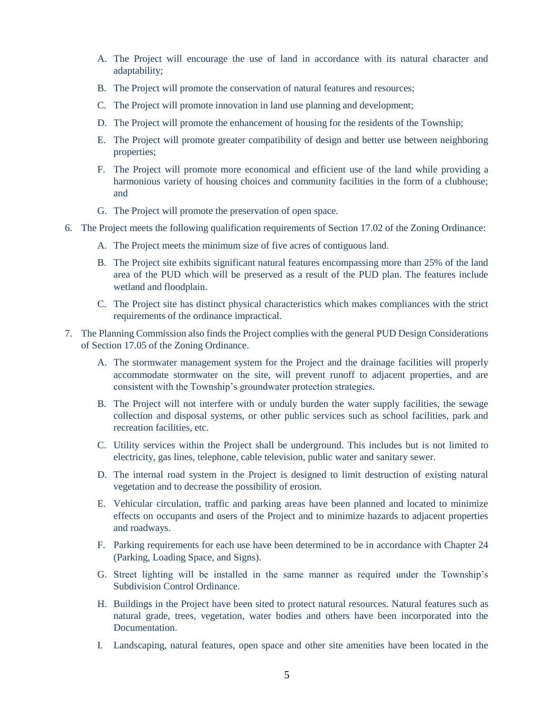- A. The Project will encourage the use of land in accordance with its natural character and adaptability;
- B. The Project will promote the conservation of natural features and resources;
- C. The Project will promote innovation in land use planning and development;
- D. The Project will promote the enhancement of housing for the residents of the Township;
- E. The Project will promote greater compatibility of design and better use between neighboring properties;
- F. The Project will promote more economical and efficient use of the land while providing a harmonious variety of housing choices and community facilities in the form of a clubhouse; and
- G. The Project will promote the preservation of open space.
- 6. The Project meets the following qualification requirements of Section 17.02 of the Zoning Ordinance:
	- A. The Project meets the minimum size of five acres of contiguous land.
	- B. The Project site exhibits significant natural features encompassing more than 25% of the land area of the PUD which will be preserved as a result of the PUD plan. The features include wetland and floodplain.
	- C. The Project site has distinct physical characteristics which makes compliances with the strict requirements of the ordinance impractical.
- 7. The Planning Commission also finds the Project complies with the general PUD Design Considerations of Section 17.05 of the Zoning Ordinance.
	- A. The stormwater management system for the Project and the drainage facilities will properly accommodate stormwater on the site, will prevent runoff to adjacent properties, and are consistent with the Township's groundwater protection strategies.
	- B. The Project will not interfere with or unduly burden the water supply facilities, the sewage collection and disposal systems, or other public services such as school facilities, park and recreation facilities, etc.
	- C. Utility services within the Project shall be underground. This includes but is not limited to electricity, gas lines, telephone, cable television, public water and sanitary sewer.
	- D. The internal road system in the Project is designed to limit destruction of existing natural vegetation and to decrease the possibility of erosion.
	- E. Vehicular circulation, traffic and parking areas have been planned and located to minimize effects on occupants and users of the Project and to minimize hazards to adjacent properties and roadways.
	- F. Parking requirements for each use have been determined to be in accordance with Chapter 24 (Parking, Loading Space, and Signs).
	- G. Street lighting will be installed in the same manner as required under the Township's Subdivision Control Ordinance.
	- H. Buildings in the Project have been sited to protect natural resources. Natural features such as natural grade, trees, vegetation, water bodies and others have been incorporated into the Documentation.
	- I. Landscaping, natural features, open space and other site amenities have been located in the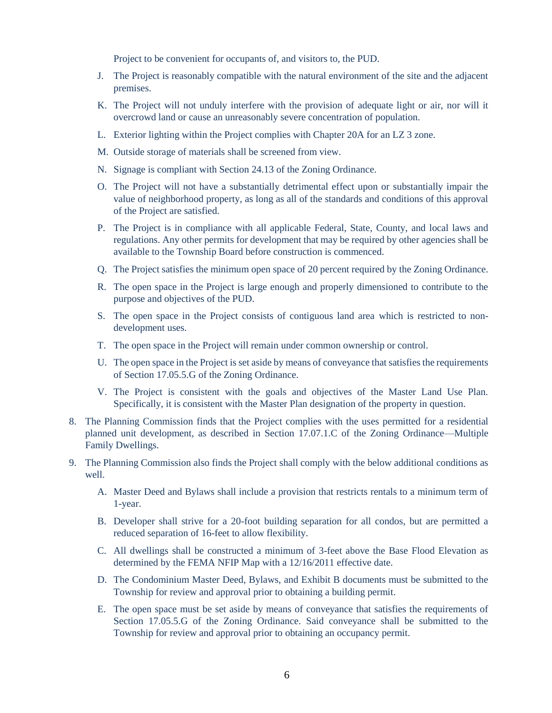Project to be convenient for occupants of, and visitors to, the PUD.

- J. The Project is reasonably compatible with the natural environment of the site and the adjacent premises.
- K. The Project will not unduly interfere with the provision of adequate light or air, nor will it overcrowd land or cause an unreasonably severe concentration of population.
- L. Exterior lighting within the Project complies with Chapter 20A for an LZ 3 zone.
- M. Outside storage of materials shall be screened from view.
- N. Signage is compliant with Section 24.13 of the Zoning Ordinance.
- O. The Project will not have a substantially detrimental effect upon or substantially impair the value of neighborhood property, as long as all of the standards and conditions of this approval of the Project are satisfied.
- P. The Project is in compliance with all applicable Federal, State, County, and local laws and regulations. Any other permits for development that may be required by other agencies shall be available to the Township Board before construction is commenced.
- Q. The Project satisfies the minimum open space of 20 percent required by the Zoning Ordinance.
- R. The open space in the Project is large enough and properly dimensioned to contribute to the purpose and objectives of the PUD.
- S. The open space in the Project consists of contiguous land area which is restricted to nondevelopment uses.
- T. The open space in the Project will remain under common ownership or control.
- U. The open space in the Project is set aside by means of conveyance that satisfies the requirements of Section 17.05.5.G of the Zoning Ordinance.
- V. The Project is consistent with the goals and objectives of the Master Land Use Plan. Specifically, it is consistent with the Master Plan designation of the property in question.
- 8. The Planning Commission finds that the Project complies with the uses permitted for a residential planned unit development, as described in Section 17.07.1.C of the Zoning Ordinance—Multiple Family Dwellings.
- 9. The Planning Commission also finds the Project shall comply with the below additional conditions as well.
	- A. Master Deed and Bylaws shall include a provision that restricts rentals to a minimum term of 1-year.
	- B. Developer shall strive for a 20-foot building separation for all condos, but are permitted a reduced separation of 16-feet to allow flexibility.
	- C. All dwellings shall be constructed a minimum of 3-feet above the Base Flood Elevation as determined by the FEMA NFIP Map with a 12/16/2011 effective date.
	- D. The Condominium Master Deed, Bylaws, and Exhibit B documents must be submitted to the Township for review and approval prior to obtaining a building permit.
	- E. The open space must be set aside by means of conveyance that satisfies the requirements of Section 17.05.5.G of the Zoning Ordinance. Said conveyance shall be submitted to the Township for review and approval prior to obtaining an occupancy permit.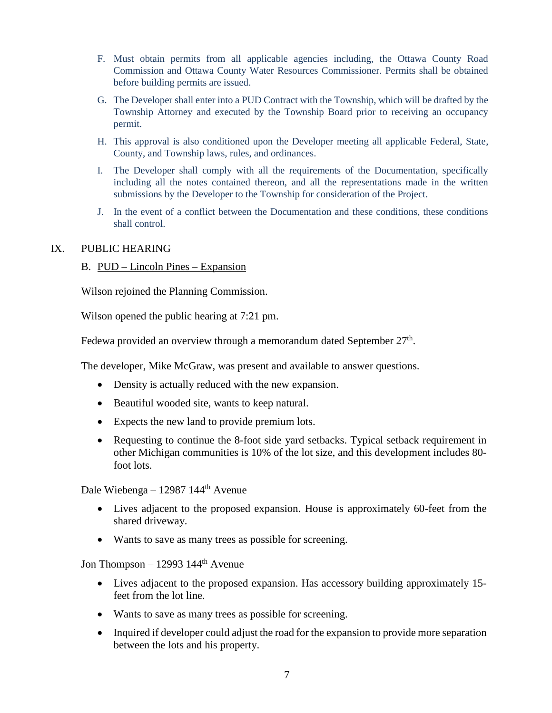- F. Must obtain permits from all applicable agencies including, the Ottawa County Road Commission and Ottawa County Water Resources Commissioner. Permits shall be obtained before building permits are issued.
- G. The Developer shall enter into a PUD Contract with the Township, which will be drafted by the Township Attorney and executed by the Township Board prior to receiving an occupancy permit.
- H. This approval is also conditioned upon the Developer meeting all applicable Federal, State, County, and Township laws, rules, and ordinances.
- I. The Developer shall comply with all the requirements of the Documentation, specifically including all the notes contained thereon, and all the representations made in the written submissions by the Developer to the Township for consideration of the Project.
- J. In the event of a conflict between the Documentation and these conditions, these conditions shall control.

# IX. PUBLIC HEARING

#### B. PUD – Lincoln Pines – Expansion

Wilson rejoined the Planning Commission.

Wilson opened the public hearing at 7:21 pm.

Fedewa provided an overview through a memorandum dated September 27<sup>th</sup>.

The developer, Mike McGraw, was present and available to answer questions.

- Density is actually reduced with the new expansion.
- Beautiful wooded site, wants to keep natural.
- Expects the new land to provide premium lots.
- Requesting to continue the 8-foot side yard setbacks. Typical setback requirement in other Michigan communities is 10% of the lot size, and this development includes 80 foot lots.

Dale Wiebenga - 12987 144<sup>th</sup> Avenue

- Lives adjacent to the proposed expansion. House is approximately 60-feet from the shared driveway.
- Wants to save as many trees as possible for screening.

Jon Thompson – 12993  $144<sup>th</sup>$  Avenue

- Lives adjacent to the proposed expansion. Has accessory building approximately 15 feet from the lot line.
- Wants to save as many trees as possible for screening.
- Inquired if developer could adjust the road for the expansion to provide more separation between the lots and his property.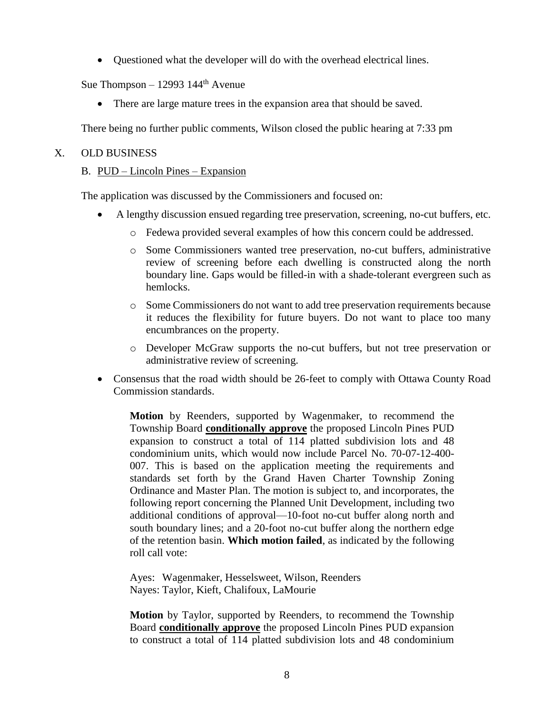• Questioned what the developer will do with the overhead electrical lines.

Sue Thompson – 12993  $144<sup>th</sup>$  Avenue

• There are large mature trees in the expansion area that should be saved.

There being no further public comments, Wilson closed the public hearing at 7:33 pm

# X. OLD BUSINESS

# B. PUD – Lincoln Pines – Expansion

The application was discussed by the Commissioners and focused on:

- A lengthy discussion ensued regarding tree preservation, screening, no-cut buffers, etc.
	- o Fedewa provided several examples of how this concern could be addressed.
	- o Some Commissioners wanted tree preservation, no-cut buffers, administrative review of screening before each dwelling is constructed along the north boundary line. Gaps would be filled-in with a shade-tolerant evergreen such as hemlocks.
	- o Some Commissioners do not want to add tree preservation requirements because it reduces the flexibility for future buyers. Do not want to place too many encumbrances on the property.
	- o Developer McGraw supports the no-cut buffers, but not tree preservation or administrative review of screening.
- Consensus that the road width should be 26-feet to comply with Ottawa County Road Commission standards.

**Motion** by Reenders, supported by Wagenmaker, to recommend the Township Board **conditionally approve** the proposed Lincoln Pines PUD expansion to construct a total of 114 platted subdivision lots and 48 condominium units, which would now include Parcel No. 70-07-12-400- 007. This is based on the application meeting the requirements and standards set forth by the Grand Haven Charter Township Zoning Ordinance and Master Plan. The motion is subject to, and incorporates, the following report concerning the Planned Unit Development, including two additional conditions of approval—10-foot no-cut buffer along north and south boundary lines; and a 20-foot no-cut buffer along the northern edge of the retention basin. **Which motion failed**, as indicated by the following roll call vote:

Ayes: Wagenmaker, Hesselsweet, Wilson, Reenders Nayes: Taylor, Kieft, Chalifoux, LaMourie

**Motion** by Taylor, supported by Reenders, to recommend the Township Board **conditionally approve** the proposed Lincoln Pines PUD expansion to construct a total of 114 platted subdivision lots and 48 condominium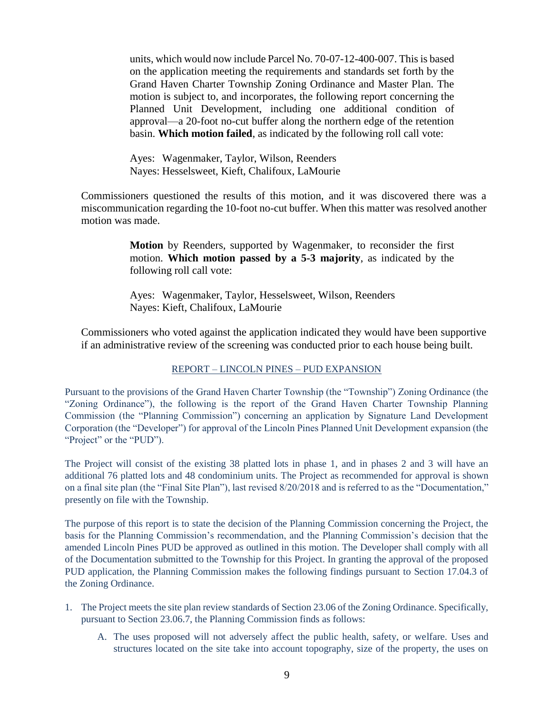units, which would now include Parcel No. 70-07-12-400-007. This is based on the application meeting the requirements and standards set forth by the Grand Haven Charter Township Zoning Ordinance and Master Plan. The motion is subject to, and incorporates, the following report concerning the Planned Unit Development, including one additional condition of approval—a 20-foot no-cut buffer along the northern edge of the retention basin. **Which motion failed**, as indicated by the following roll call vote:

Ayes: Wagenmaker, Taylor, Wilson, Reenders Nayes: Hesselsweet, Kieft, Chalifoux, LaMourie

Commissioners questioned the results of this motion, and it was discovered there was a miscommunication regarding the 10-foot no-cut buffer. When this matter was resolved another motion was made.

> **Motion** by Reenders, supported by Wagenmaker, to reconsider the first motion. **Which motion passed by a 5-3 majority**, as indicated by the following roll call vote:

Ayes: Wagenmaker, Taylor, Hesselsweet, Wilson, Reenders Nayes: Kieft, Chalifoux, LaMourie

Commissioners who voted against the application indicated they would have been supportive if an administrative review of the screening was conducted prior to each house being built.

#### REPORT – LINCOLN PINES – PUD EXPANSION

Pursuant to the provisions of the Grand Haven Charter Township (the "Township") Zoning Ordinance (the "Zoning Ordinance"), the following is the report of the Grand Haven Charter Township Planning Commission (the "Planning Commission") concerning an application by Signature Land Development Corporation (the "Developer") for approval of the Lincoln Pines Planned Unit Development expansion (the "Project" or the "PUD").

The Project will consist of the existing 38 platted lots in phase 1, and in phases 2 and 3 will have an additional 76 platted lots and 48 condominium units. The Project as recommended for approval is shown on a final site plan (the "Final Site Plan"), last revised 8/20/2018 and is referred to as the "Documentation," presently on file with the Township.

The purpose of this report is to state the decision of the Planning Commission concerning the Project, the basis for the Planning Commission's recommendation, and the Planning Commission's decision that the amended Lincoln Pines PUD be approved as outlined in this motion. The Developer shall comply with all of the Documentation submitted to the Township for this Project. In granting the approval of the proposed PUD application, the Planning Commission makes the following findings pursuant to Section 17.04.3 of the Zoning Ordinance.

- 1. The Project meets the site plan review standards of Section 23.06 of the Zoning Ordinance. Specifically, pursuant to Section 23.06.7, the Planning Commission finds as follows:
	- A. The uses proposed will not adversely affect the public health, safety, or welfare. Uses and structures located on the site take into account topography, size of the property, the uses on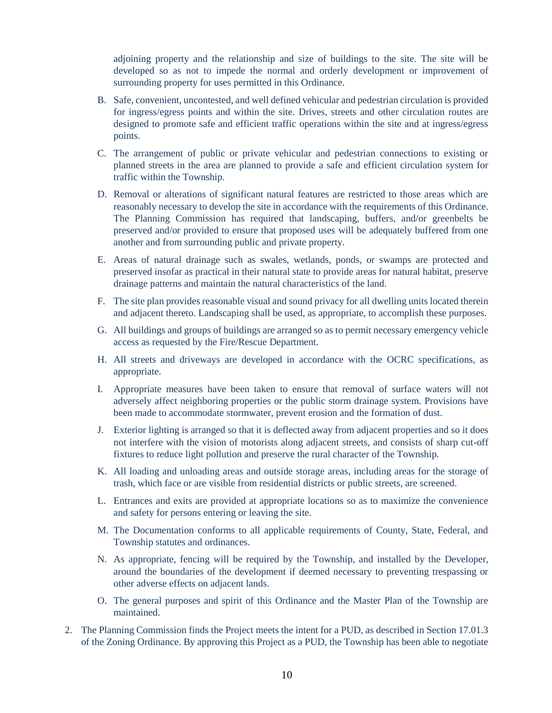adjoining property and the relationship and size of buildings to the site. The site will be developed so as not to impede the normal and orderly development or improvement of surrounding property for uses permitted in this Ordinance.

- B. Safe, convenient, uncontested, and well defined vehicular and pedestrian circulation is provided for ingress/egress points and within the site. Drives, streets and other circulation routes are designed to promote safe and efficient traffic operations within the site and at ingress/egress points.
- C. The arrangement of public or private vehicular and pedestrian connections to existing or planned streets in the area are planned to provide a safe and efficient circulation system for traffic within the Township.
- D. Removal or alterations of significant natural features are restricted to those areas which are reasonably necessary to develop the site in accordance with the requirements of this Ordinance. The Planning Commission has required that landscaping, buffers, and/or greenbelts be preserved and/or provided to ensure that proposed uses will be adequately buffered from one another and from surrounding public and private property.
- E. Areas of natural drainage such as swales, wetlands, ponds, or swamps are protected and preserved insofar as practical in their natural state to provide areas for natural habitat, preserve drainage patterns and maintain the natural characteristics of the land.
- F. The site plan provides reasonable visual and sound privacy for all dwelling units located therein and adjacent thereto. Landscaping shall be used, as appropriate, to accomplish these purposes.
- G. All buildings and groups of buildings are arranged so as to permit necessary emergency vehicle access as requested by the Fire/Rescue Department.
- H. All streets and driveways are developed in accordance with the OCRC specifications, as appropriate.
- I. Appropriate measures have been taken to ensure that removal of surface waters will not adversely affect neighboring properties or the public storm drainage system. Provisions have been made to accommodate stormwater, prevent erosion and the formation of dust.
- J. Exterior lighting is arranged so that it is deflected away from adjacent properties and so it does not interfere with the vision of motorists along adjacent streets, and consists of sharp cut-off fixtures to reduce light pollution and preserve the rural character of the Township.
- K. All loading and unloading areas and outside storage areas, including areas for the storage of trash, which face or are visible from residential districts or public streets, are screened.
- L. Entrances and exits are provided at appropriate locations so as to maximize the convenience and safety for persons entering or leaving the site.
- M. The Documentation conforms to all applicable requirements of County, State, Federal, and Township statutes and ordinances.
- N. As appropriate, fencing will be required by the Township, and installed by the Developer, around the boundaries of the development if deemed necessary to preventing trespassing or other adverse effects on adjacent lands.
- O. The general purposes and spirit of this Ordinance and the Master Plan of the Township are maintained.
- 2. The Planning Commission finds the Project meets the intent for a PUD, as described in Section 17.01.3 of the Zoning Ordinance. By approving this Project as a PUD, the Township has been able to negotiate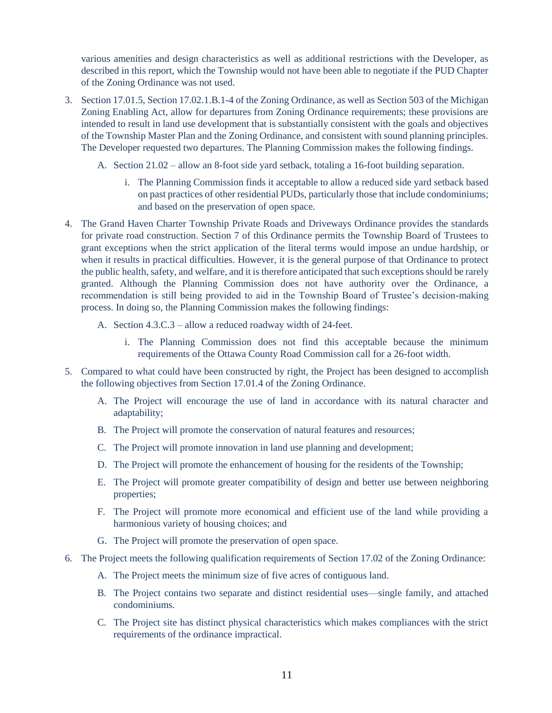various amenities and design characteristics as well as additional restrictions with the Developer, as described in this report, which the Township would not have been able to negotiate if the PUD Chapter of the Zoning Ordinance was not used.

- 3. Section 17.01.5, Section 17.02.1.B.1-4 of the Zoning Ordinance, as well as Section 503 of the Michigan Zoning Enabling Act, allow for departures from Zoning Ordinance requirements; these provisions are intended to result in land use development that is substantially consistent with the goals and objectives of the Township Master Plan and the Zoning Ordinance, and consistent with sound planning principles. The Developer requested two departures. The Planning Commission makes the following findings.
	- A. Section 21.02 allow an 8-foot side yard setback, totaling a 16-foot building separation.
		- i. The Planning Commission finds it acceptable to allow a reduced side yard setback based on past practices of other residential PUDs, particularly those that include condominiums; and based on the preservation of open space.
- 4. The Grand Haven Charter Township Private Roads and Driveways Ordinance provides the standards for private road construction. Section 7 of this Ordinance permits the Township Board of Trustees to grant exceptions when the strict application of the literal terms would impose an undue hardship, or when it results in practical difficulties. However, it is the general purpose of that Ordinance to protect the public health, safety, and welfare, and it is therefore anticipated that such exceptions should be rarely granted. Although the Planning Commission does not have authority over the Ordinance, a recommendation is still being provided to aid in the Township Board of Trustee's decision-making process. In doing so, the Planning Commission makes the following findings:
	- A. Section 4.3.C.3 allow a reduced roadway width of 24-feet.
		- i. The Planning Commission does not find this acceptable because the minimum requirements of the Ottawa County Road Commission call for a 26-foot width.
- 5. Compared to what could have been constructed by right, the Project has been designed to accomplish the following objectives from Section 17.01.4 of the Zoning Ordinance.
	- A. The Project will encourage the use of land in accordance with its natural character and adaptability;
	- B. The Project will promote the conservation of natural features and resources;
	- C. The Project will promote innovation in land use planning and development;
	- D. The Project will promote the enhancement of housing for the residents of the Township;
	- E. The Project will promote greater compatibility of design and better use between neighboring properties;
	- F. The Project will promote more economical and efficient use of the land while providing a harmonious variety of housing choices; and
	- G. The Project will promote the preservation of open space.
- 6. The Project meets the following qualification requirements of Section 17.02 of the Zoning Ordinance:
	- A. The Project meets the minimum size of five acres of contiguous land.
	- B. The Project contains two separate and distinct residential uses—single family, and attached condominiums.
	- C. The Project site has distinct physical characteristics which makes compliances with the strict requirements of the ordinance impractical.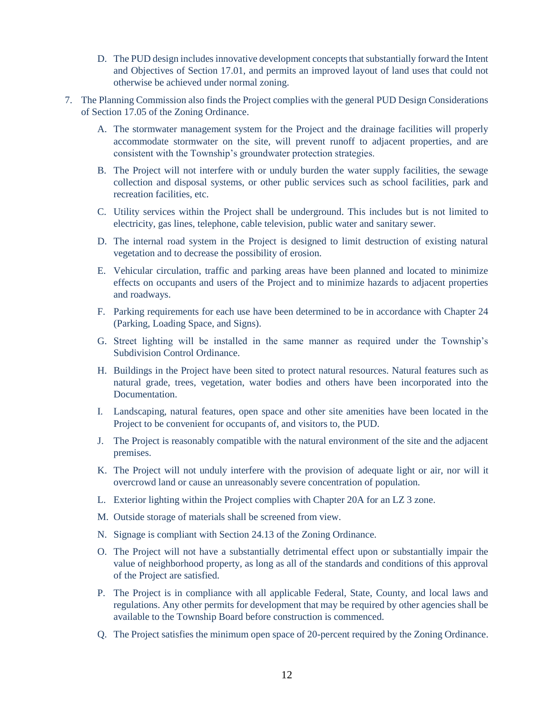- D. The PUD design includes innovative development concepts that substantially forward the Intent and Objectives of Section 17.01, and permits an improved layout of land uses that could not otherwise be achieved under normal zoning.
- 7. The Planning Commission also finds the Project complies with the general PUD Design Considerations of Section 17.05 of the Zoning Ordinance.
	- A. The stormwater management system for the Project and the drainage facilities will properly accommodate stormwater on the site, will prevent runoff to adjacent properties, and are consistent with the Township's groundwater protection strategies.
	- B. The Project will not interfere with or unduly burden the water supply facilities, the sewage collection and disposal systems, or other public services such as school facilities, park and recreation facilities, etc.
	- C. Utility services within the Project shall be underground. This includes but is not limited to electricity, gas lines, telephone, cable television, public water and sanitary sewer.
	- D. The internal road system in the Project is designed to limit destruction of existing natural vegetation and to decrease the possibility of erosion.
	- E. Vehicular circulation, traffic and parking areas have been planned and located to minimize effects on occupants and users of the Project and to minimize hazards to adjacent properties and roadways.
	- F. Parking requirements for each use have been determined to be in accordance with Chapter 24 (Parking, Loading Space, and Signs).
	- G. Street lighting will be installed in the same manner as required under the Township's Subdivision Control Ordinance.
	- H. Buildings in the Project have been sited to protect natural resources. Natural features such as natural grade, trees, vegetation, water bodies and others have been incorporated into the Documentation.
	- I. Landscaping, natural features, open space and other site amenities have been located in the Project to be convenient for occupants of, and visitors to, the PUD.
	- J. The Project is reasonably compatible with the natural environment of the site and the adjacent premises.
	- K. The Project will not unduly interfere with the provision of adequate light or air, nor will it overcrowd land or cause an unreasonably severe concentration of population.
	- L. Exterior lighting within the Project complies with Chapter 20A for an LZ 3 zone.
	- M. Outside storage of materials shall be screened from view.
	- N. Signage is compliant with Section 24.13 of the Zoning Ordinance.
	- O. The Project will not have a substantially detrimental effect upon or substantially impair the value of neighborhood property, as long as all of the standards and conditions of this approval of the Project are satisfied.
	- P. The Project is in compliance with all applicable Federal, State, County, and local laws and regulations. Any other permits for development that may be required by other agencies shall be available to the Township Board before construction is commenced.
	- Q. The Project satisfies the minimum open space of 20-percent required by the Zoning Ordinance.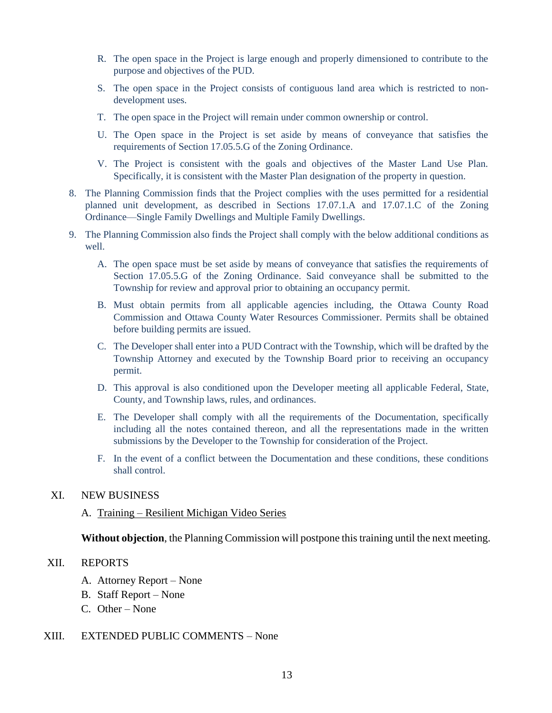- R. The open space in the Project is large enough and properly dimensioned to contribute to the purpose and objectives of the PUD.
- S. The open space in the Project consists of contiguous land area which is restricted to nondevelopment uses.
- T. The open space in the Project will remain under common ownership or control.
- U. The Open space in the Project is set aside by means of conveyance that satisfies the requirements of Section 17.05.5.G of the Zoning Ordinance.
- V. The Project is consistent with the goals and objectives of the Master Land Use Plan. Specifically, it is consistent with the Master Plan designation of the property in question.
- 8. The Planning Commission finds that the Project complies with the uses permitted for a residential planned unit development, as described in Sections 17.07.1.A and 17.07.1.C of the Zoning Ordinance—Single Family Dwellings and Multiple Family Dwellings.
- 9. The Planning Commission also finds the Project shall comply with the below additional conditions as well.
	- A. The open space must be set aside by means of conveyance that satisfies the requirements of Section 17.05.5.G of the Zoning Ordinance. Said conveyance shall be submitted to the Township for review and approval prior to obtaining an occupancy permit.
	- B. Must obtain permits from all applicable agencies including, the Ottawa County Road Commission and Ottawa County Water Resources Commissioner. Permits shall be obtained before building permits are issued.
	- C. The Developer shall enter into a PUD Contract with the Township, which will be drafted by the Township Attorney and executed by the Township Board prior to receiving an occupancy permit.
	- D. This approval is also conditioned upon the Developer meeting all applicable Federal, State, County, and Township laws, rules, and ordinances.
	- E. The Developer shall comply with all the requirements of the Documentation, specifically including all the notes contained thereon, and all the representations made in the written submissions by the Developer to the Township for consideration of the Project.
	- F. In the event of a conflict between the Documentation and these conditions, these conditions shall control.

# XI. NEW BUSINESS

# A. Training – Resilient Michigan Video Series

**Without objection**, the Planning Commission will postpone this training until the next meeting.

#### XII. REPORTS

- A. Attorney Report None
- B. Staff Report None
- C. Other None

## XIII. EXTENDED PUBLIC COMMENTS – None